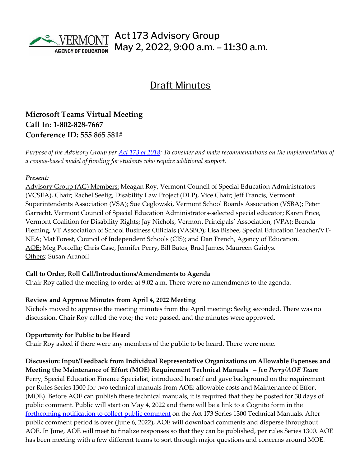

# Draft Minutes

## **Microsoft Teams Virtual Meeting Call In: [1-802-828-7667](about:blank)  Conference ID: 555 865 581#**

*Purpose of the Advisory Group per [Act 173 of 2018:](https://legislature.vermont.gov/Documents/2018/Docs/ACTS/ACT173/ACT173%20As%20Enacted.pdf) To consider and make recommendations on the implementation of a census-based model of funding for students who require additional support.*

#### *Present:*

Advisory Group (AG) Members: Meagan Roy, Vermont Council of Special Education Administrators (VCSEA), Chair; Rachel Seelig, Disability Law Project (DLP), Vice Chair; Jeff Francis, Vermont Superintendents Association (VSA); Sue Ceglowski, Vermont School Boards Association (VSBA); Peter Garrecht, Vermont Council of Special Education Administrators-selected special educator; Karen Price, Vermont Coalition for Disability Rights; Jay Nichols, Vermont Principals' Association, (VPA); Brenda Fleming, VT Association of School Business Officials (VASBO); Lisa Bisbee, Special Education Teacher/VT-NEA; Mat Forest, Council of Independent Schools (CIS); and Dan French, Agency of Education. AOE: Meg Porcella; Chris Case, Jennifer Perry, Bill Bates, Brad James, Maureen Gaidys. Others: Susan Aranoff

#### **Call to Order, Roll Call/Introductions/Amendments to Agenda**

Chair Roy called the meeting to order at 9:02 a.m. There were no amendments to the agenda.

#### **Review and Approve Minutes from April 4, 2022 Meeting**

Nichols moved to approve the meeting minutes from the April meeting; Seelig seconded. There was no discussion. Chair Roy called the vote; the vote passed, and the minutes were approved.

#### **Opportunity for Public to be Heard**

Chair Roy asked if there were any members of the public to be heard. There were none.

**Discussion: Input/Feedback from Individual Representative Organizations on Allowable Expenses and Meeting the Maintenance of Effort** (**MOE) Requirement Technical Manuals –** *Jen Perry/AOE Team*  Perry, Special Education Finance Specialist, introduced herself and gave background on the requirement per Rules Series 1300 for two technical manuals from AOE: allowable costs and Maintenance of Effort (MOE). Before AOE can publish these technical manuals, it is required that they be posted for 30 days of public comment. Public will start on May 4, 2022 and there will be a link to a Cognito form in the [forthcoming notification to collect public comment](https://education.vermont.gov/weekly-field-memo/volume-16-issue-18#manual) on the Act 173 Series 1300 Technical Manuals. After public comment period is over (June 6, 2022), AOE will download comments and disperse throughout AOE. In June, AOE will meet to finalize responses so that they can be published, per rules Series 1300. AOE has been meeting with a few different teams to sort through major questions and concerns around MOE.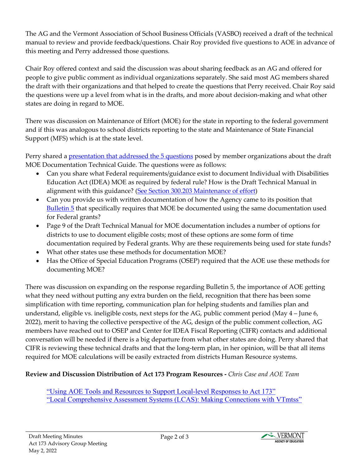The AG and the Vermont Association of School Business Officials (VASBO) received a draft of the technical manual to review and provide feedback/questions. Chair Roy provided five questions to AOE in advance of this meeting and Perry addressed those questions.

Chair Roy offered context and said the discussion was about sharing feedback as an AG and offered for people to give public comment as individual organizations separately. She said most AG members shared the draft with their organizations and that helped to create the questions that Perry received. Chair Roy said the questions were up a level from what is in the drafts, and more about decision-making and what other states are doing in regard to MOE.

There was discussion on Maintenance of Effort (MOE) for the state in reporting to the federal government and if this was analogous to school districts reporting to the state and Maintenance of State Financial Support (MFS) which is at the state level.

Perry shared [a presentation that addressed the 5 questions](https://education.vermont.gov/documents/Act%20173%20AG%20Questions-May%202%202022) posed by member organizations about the draft MOE Documentation Technical Guide. The questions were as follows:

- Can you share what Federal requirements/guidance exist to document Individual with Disabilities Education Act (IDEA) MOE as required by federal rule? How is the Draft Technical Manual in alignment with this guidance? [\(See Section 300.203 Maintenance of effort\)](https://sites.ed.gov/idea/regs/b/c/300.203)
- Can you provide us with written documentation of how the Agency came to its position that [Bulletin 5](https://aoa.vermont.gov/sites/aoa/files/Bulletins/Bulletin_5_eff12-26-14.pdf) that specifically requires that MOE be documented using the same documentation used for Federal grants?
- Page 9 of the Draft Technical Manual for MOE documentation includes a number of options for districts to use to document eligible costs; most of these options are some form of time documentation required by Federal grants. Why are these requirements being used for state funds?
- What other states use these methods for documentation MOE?
- Has the Office of Special Education Programs (OSEP) required that the AOE use these methods for documenting MOE?

There was discussion on expanding on the response regarding Bulletin 5, the importance of AOE getting what they need without putting any extra burden on the field, recognition that there has been some simplification with time reporting, communication plan for helping students and families plan and understand, eligible vs. ineligible costs, next steps for the AG, public comment period (May 4 – June 6, 2022), merit to having the collective perspective of the AG, design of the public comment collection, AG members have reached out to OSEP and Center for IDEA Fiscal Reporting (CIFR) contacts and additional conversation will be needed if there is a big departure from what other states are doing. Perry shared that CIFR is reviewing these technical drafts and that the long-term plan, in her opinion, will be that all items required for MOE calculations will be easily extracted from districts Human Resource systems.

### **Review and Discussion Distribution of Act 173 Program Resources -** *Chris Case and AOE Team*

["Using AOE Tools and Resources to Support Local-level Responses to Act 173"](https://education.vermont.gov/document/DRAFT-Using%20AOE%20Resources%20to%20Address%20LEA%20173%20Needs-02-07-22) ["Local Comprehensive Assessment Systems \(LCAS\): Making Connections with VTmtss"](https://education.vermont.gov/documents/edu-local-comprehensive-assessment-systems-lcas-making-connections-with-vtmtss)